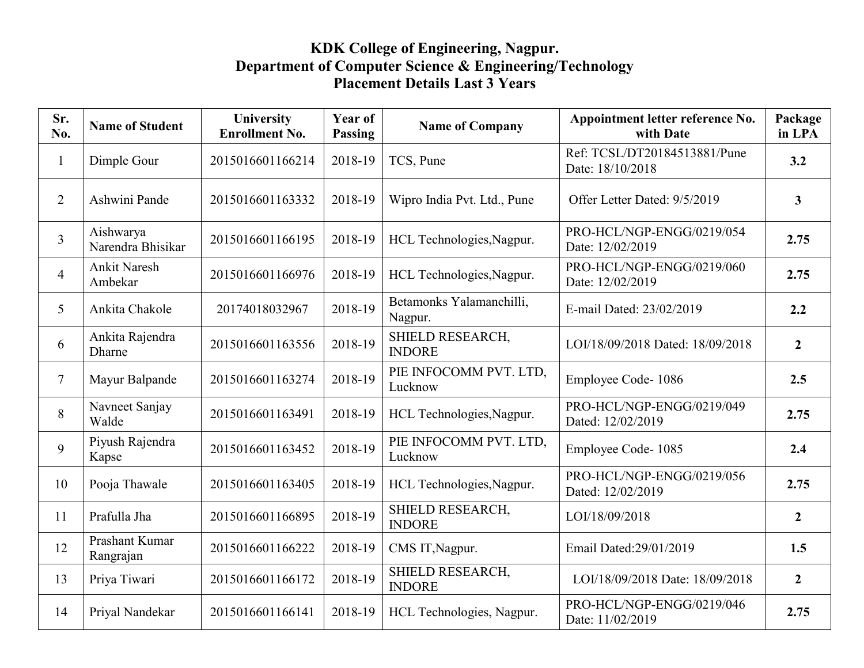## **KDK College of Engineering, Nagpur. Department of Computer Science & Engineering/Technology Placement Details Last 3 Years**

| Sr.<br>No.      | <b>Name of Student</b>         | University<br><b>Enrollment No.</b> | Year of<br><b>Passing</b> | <b>Name of Company</b>              | Appointment letter reference No.<br>with Date    | Package<br>in LPA       |
|-----------------|--------------------------------|-------------------------------------|---------------------------|-------------------------------------|--------------------------------------------------|-------------------------|
| $\mathbf{1}$    | Dimple Gour                    | 2015016601166214                    | 2018-19                   | TCS, Pune                           | Ref: TCSL/DT20184513881/Pune<br>Date: 18/10/2018 | 3.2                     |
| $\overline{2}$  | Ashwini Pande                  | 2015016601163332                    | 2018-19                   | Wipro India Pvt. Ltd., Pune         | Offer Letter Dated: 9/5/2019                     | $\overline{\mathbf{3}}$ |
| $\overline{3}$  | Aishwarya<br>Narendra Bhisikar | 2015016601166195                    | 2018-19                   | HCL Technologies, Nagpur.           | PRO-HCL/NGP-ENGG/0219/054<br>Date: 12/02/2019    | 2.75                    |
| $\overline{4}$  | <b>Ankit Naresh</b><br>Ambekar | 2015016601166976                    | 2018-19                   | HCL Technologies, Nagpur.           | PRO-HCL/NGP-ENGG/0219/060<br>Date: 12/02/2019    | 2.75                    |
| $5\overline{)}$ | Ankita Chakole                 | 20174018032967                      | 2018-19                   | Betamonks Yalamanchilli,<br>Nagpur. | E-mail Dated: 23/02/2019                         | 2.2                     |
| 6               | Ankita Rajendra<br>Dharne      | 2015016601163556                    | 2018-19                   | SHIELD RESEARCH,<br><b>INDORE</b>   | LOI/18/09/2018 Dated: 18/09/2018                 | $\overline{2}$          |
| $\tau$          | Mayur Balpande                 | 2015016601163274                    | 2018-19                   | PIE INFOCOMM PVT. LTD,<br>Lucknow   | Employee Code-1086                               | 2.5                     |
| 8               | Navneet Sanjay<br>Walde        | 2015016601163491                    | 2018-19                   | HCL Technologies, Nagpur.           | PRO-HCL/NGP-ENGG/0219/049<br>Dated: 12/02/2019   | 2.75                    |
| 9               | Piyush Rajendra<br>Kapse       | 2015016601163452                    | 2018-19                   | PIE INFOCOMM PVT. LTD,<br>Lucknow   | Employee Code-1085                               | 2.4                     |
| 10              | Pooja Thawale                  | 2015016601163405                    | 2018-19                   | HCL Technologies, Nagpur.           | PRO-HCL/NGP-ENGG/0219/056<br>Dated: 12/02/2019   | 2.75                    |
| 11              | Prafulla Jha                   | 2015016601166895                    | 2018-19                   | SHIELD RESEARCH,<br><b>INDORE</b>   | LOI/18/09/2018                                   | $\boldsymbol{2}$        |
| 12              | Prashant Kumar<br>Rangrajan    | 2015016601166222                    | 2018-19                   | CMS IT, Nagpur.                     | Email Dated: 29/01/2019                          | 1.5                     |
| 13              | Priya Tiwari                   | 2015016601166172                    | 2018-19                   | SHIELD RESEARCH,<br><b>INDORE</b>   | LOI/18/09/2018 Date: 18/09/2018                  | $\overline{2}$          |
| 14              | Priyal Nandekar                | 2015016601166141                    | 2018-19                   | HCL Technologies, Nagpur.           | PRO-HCL/NGP-ENGG/0219/046<br>Date: 11/02/2019    | 2.75                    |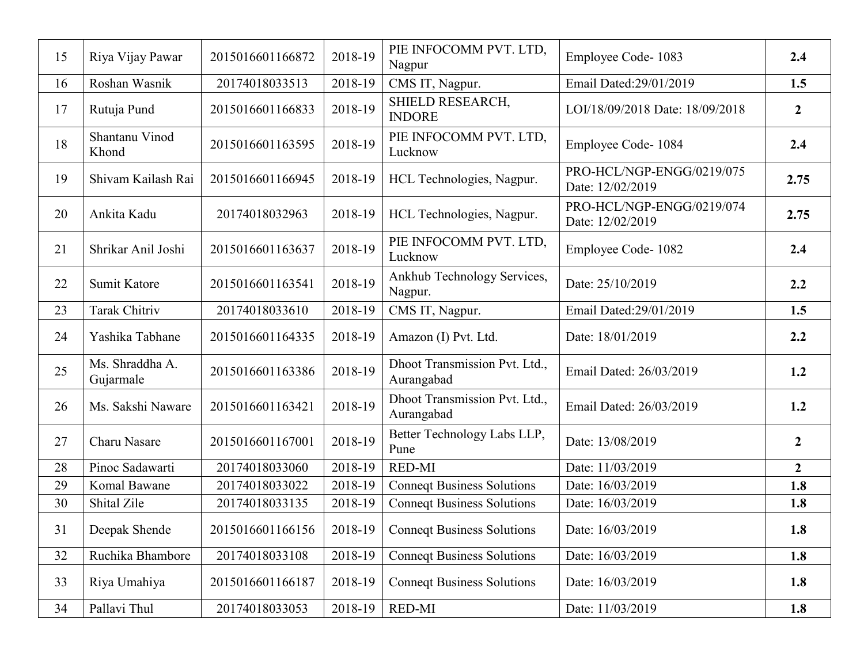| 15 | Riya Vijay Pawar             | 2015016601166872 | 2018-19   | PIE INFOCOMM PVT. LTD,<br>Nagpur            | Employee Code-1083                            | 2.4              |
|----|------------------------------|------------------|-----------|---------------------------------------------|-----------------------------------------------|------------------|
| 16 | Roshan Wasnik                | 20174018033513   | 2018-19   | CMS IT, Nagpur.                             | Email Dated: 29/01/2019                       | 1.5              |
| 17 | Rutuja Pund                  | 2015016601166833 | 2018-19   | SHIELD RESEARCH,<br><b>INDORE</b>           | LOI/18/09/2018 Date: 18/09/2018               | $\overline{2}$   |
| 18 | Shantanu Vinod<br>Khond      | 2015016601163595 | 2018-19   | PIE INFOCOMM PVT. LTD,<br>Lucknow           | Employee Code-1084                            | 2.4              |
| 19 | Shivam Kailash Rai           | 2015016601166945 | 2018-19   | HCL Technologies, Nagpur.                   | PRO-HCL/NGP-ENGG/0219/075<br>Date: 12/02/2019 | 2.75             |
| 20 | Ankita Kadu                  | 20174018032963   | 2018-19   | HCL Technologies, Nagpur.                   | PRO-HCL/NGP-ENGG/0219/074<br>Date: 12/02/2019 | 2.75             |
| 21 | Shrikar Anil Joshi           | 2015016601163637 | 2018-19   | PIE INFOCOMM PVT. LTD,<br>Lucknow           | Employee Code-1082                            | 2.4              |
| 22 | Sumit Katore                 | 2015016601163541 | 2018-19   | Ankhub Technology Services,<br>Nagpur.      | Date: 25/10/2019                              | 2.2              |
| 23 | <b>Tarak Chitriv</b>         | 20174018033610   | 2018-19   | CMS IT, Nagpur.                             | Email Dated: 29/01/2019                       | 1.5              |
| 24 | Yashika Tabhane              | 2015016601164335 | 2018-19   | Amazon (I) Pvt. Ltd.                        | Date: 18/01/2019                              | 2.2              |
| 25 | Ms. Shraddha A.<br>Gujarmale | 2015016601163386 | 2018-19   | Dhoot Transmission Pvt. Ltd.,<br>Aurangabad | Email Dated: 26/03/2019                       | 1.2              |
| 26 | Ms. Sakshi Naware            | 2015016601163421 | 2018-19   | Dhoot Transmission Pvt. Ltd.,<br>Aurangabad | Email Dated: 26/03/2019                       | 1.2              |
| 27 | <b>Charu Nasare</b>          | 2015016601167001 | 2018-19   | Better Technology Labs LLP,<br>Pune         | Date: 13/08/2019                              | $\boldsymbol{2}$ |
| 28 | Pinoc Sadawarti              | 20174018033060   | 2018-19   | <b>RED-MI</b>                               | Date: 11/03/2019                              | $\overline{2}$   |
| 29 | Komal Bawane                 | 20174018033022   | 2018-19   | <b>Connect Business Solutions</b>           | Date: 16/03/2019                              | 1.8              |
| 30 | Shital Zile                  | 20174018033135   | 2018-19   | <b>Conneqt Business Solutions</b>           | Date: 16/03/2019                              | 1.8              |
| 31 | Deepak Shende                | 2015016601166156 | $2018-19$ | <b>Connect Business Solutions</b>           | Date: 16/03/2019                              | 1.8              |
| 32 | Ruchika Bhambore             | 20174018033108   | 2018-19   | <b>Connegt Business Solutions</b>           | Date: 16/03/2019                              | 1.8              |
| 33 | Riya Umahiya                 | 2015016601166187 | 2018-19   | <b>Connect Business Solutions</b>           | Date: 16/03/2019                              | 1.8              |
| 34 | Pallavi Thul                 | 20174018033053   | 2018-19   | <b>RED-MI</b>                               | Date: 11/03/2019                              | 1.8              |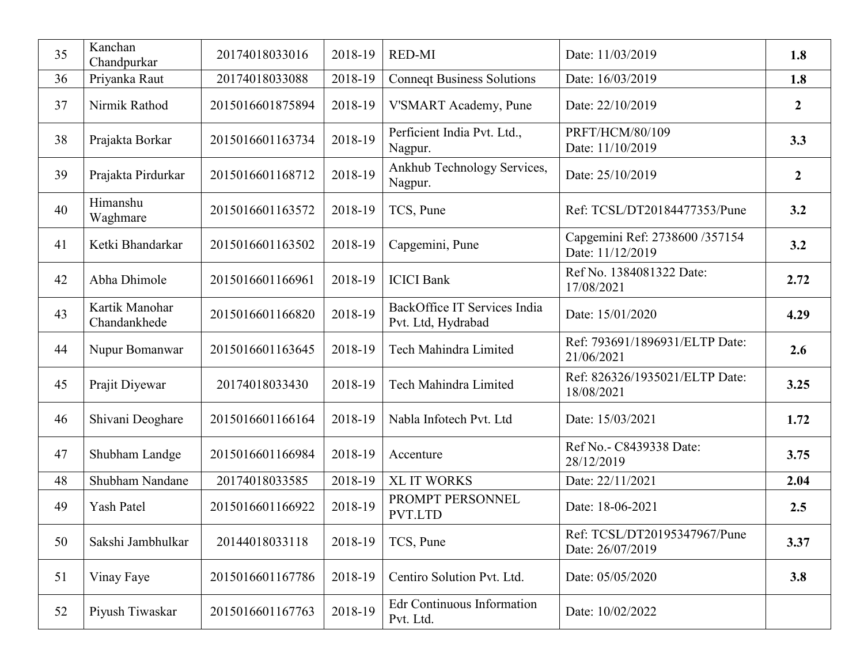| 35 | Kanchan<br>Chandpurkar         | 20174018033016   | 2018-19 | <b>RED-MI</b>                                      | Date: 11/03/2019                                   | 1.8              |
|----|--------------------------------|------------------|---------|----------------------------------------------------|----------------------------------------------------|------------------|
| 36 | Priyanka Raut                  | 20174018033088   | 2018-19 | <b>Conneqt Business Solutions</b>                  | Date: 16/03/2019                                   | 1.8              |
| 37 | Nirmik Rathod                  | 2015016601875894 | 2018-19 | V'SMART Academy, Pune                              | Date: 22/10/2019                                   | $\boldsymbol{2}$ |
| 38 | Prajakta Borkar                | 2015016601163734 | 2018-19 | Perficient India Pvt. Ltd.,<br>Nagpur.             | PRFT/HCM/80/109<br>Date: 11/10/2019                | 3.3              |
| 39 | Prajakta Pirdurkar             | 2015016601168712 | 2018-19 | Ankhub Technology Services,<br>Nagpur.             | Date: 25/10/2019                                   | $\boldsymbol{2}$ |
| 40 | Himanshu<br>Waghmare           | 2015016601163572 | 2018-19 | TCS, Pune                                          | Ref: TCSL/DT20184477353/Pune                       | 3.2              |
| 41 | Ketki Bhandarkar               | 2015016601163502 | 2018-19 | Capgemini, Pune                                    | Capgemini Ref: 2738600 /357154<br>Date: 11/12/2019 | 3.2              |
| 42 | Abha Dhimole                   | 2015016601166961 | 2018-19 | <b>ICICI Bank</b>                                  | Ref No. 1384081322 Date:<br>17/08/2021             | 2.72             |
| 43 | Kartik Manohar<br>Chandankhede | 2015016601166820 | 2018-19 | BackOffice IT Services India<br>Pvt. Ltd, Hydrabad | Date: 15/01/2020                                   | 4.29             |
| 44 | Nupur Bomanwar                 | 2015016601163645 | 2018-19 | <b>Tech Mahindra Limited</b>                       | Ref: 793691/1896931/ELTP Date:<br>21/06/2021       | 2.6              |
| 45 | Prajit Diyewar                 | 20174018033430   | 2018-19 | Tech Mahindra Limited                              | Ref: 826326/1935021/ELTP Date:<br>18/08/2021       | 3.25             |
| 46 | Shivani Deoghare               | 2015016601166164 | 2018-19 | Nabla Infotech Pvt. Ltd                            | Date: 15/03/2021                                   | 1.72             |
| 47 | Shubham Landge                 | 2015016601166984 | 2018-19 | Accenture                                          | Ref No.- C8439338 Date:<br>28/12/2019              | 3.75             |
| 48 | Shubham Nandane                | 20174018033585   | 2018-19 | <b>XL IT WORKS</b>                                 | Date: 22/11/2021                                   | 2.04             |
| 49 | <b>Yash Patel</b>              | 2015016601166922 | 2018-19 | PROMPT PERSONNEL<br>PVT.LTD                        | Date: 18-06-2021                                   | 2.5              |
| 50 | Sakshi Jambhulkar              | 20144018033118   | 2018-19 | TCS, Pune                                          | Ref: TCSL/DT20195347967/Pune<br>Date: 26/07/2019   | 3.37             |
| 51 | Vinay Faye                     | 2015016601167786 | 2018-19 | Centiro Solution Pvt. Ltd.                         | Date: 05/05/2020                                   | 3.8              |
| 52 | Piyush Tiwaskar                | 2015016601167763 | 2018-19 | Edr Continuous Information<br>Pvt. Ltd.            | Date: 10/02/2022                                   |                  |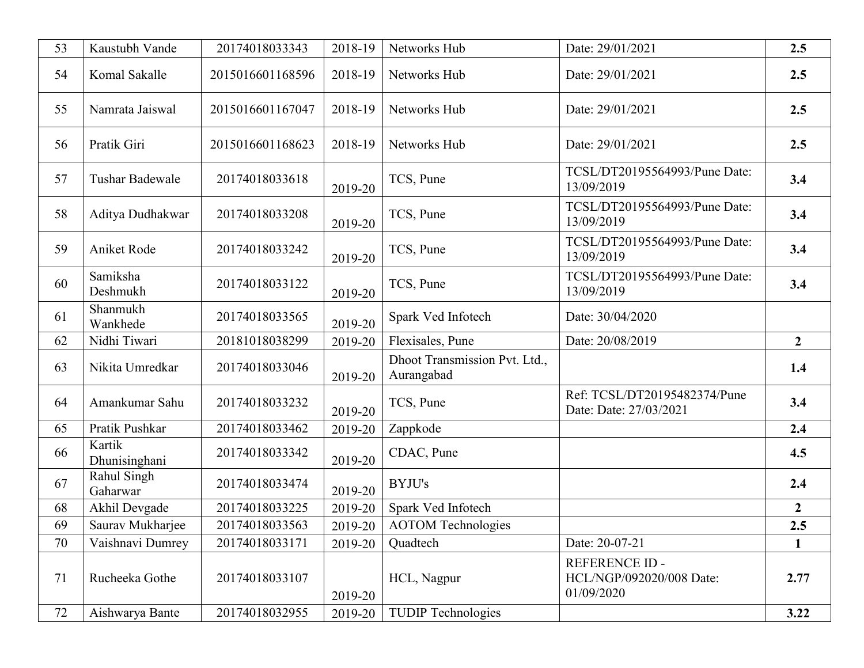| 53 | Kaustubh Vande          | 20174018033343   | 2018-19 | Networks Hub                                | Date: 29/01/2021                                                | 2.5              |
|----|-------------------------|------------------|---------|---------------------------------------------|-----------------------------------------------------------------|------------------|
| 54 | Komal Sakalle           | 2015016601168596 | 2018-19 | Networks Hub                                | Date: 29/01/2021                                                | 2.5              |
| 55 | Namrata Jaiswal         | 2015016601167047 | 2018-19 | Networks Hub                                | Date: 29/01/2021                                                | 2.5              |
| 56 | Pratik Giri             | 2015016601168623 | 2018-19 | Networks Hub                                | Date: 29/01/2021                                                | 2.5              |
| 57 | <b>Tushar Badewale</b>  | 20174018033618   | 2019-20 | TCS, Pune                                   | TCSL/DT20195564993/Pune Date:<br>13/09/2019                     | 3.4              |
| 58 | Aditya Dudhakwar        | 20174018033208   | 2019-20 | TCS, Pune                                   | TCSL/DT20195564993/Pune Date:<br>13/09/2019                     | 3.4              |
| 59 | Aniket Rode             | 20174018033242   | 2019-20 | TCS, Pune                                   | TCSL/DT20195564993/Pune Date:<br>13/09/2019                     | 3.4              |
| 60 | Samiksha<br>Deshmukh    | 20174018033122   | 2019-20 | TCS, Pune                                   | TCSL/DT20195564993/Pune Date:<br>13/09/2019                     | 3.4              |
| 61 | Shanmukh<br>Wankhede    | 20174018033565   | 2019-20 | Spark Ved Infotech                          | Date: 30/04/2020                                                |                  |
| 62 | Nidhi Tiwari            | 20181018038299   | 2019-20 | Flexisales, Pune                            | Date: 20/08/2019                                                | $2^{\circ}$      |
| 63 | Nikita Umredkar         | 20174018033046   | 2019-20 | Dhoot Transmission Pvt. Ltd.,<br>Aurangabad |                                                                 | 1.4              |
| 64 | Amankumar Sahu          | 20174018033232   | 2019-20 | TCS, Pune                                   | Ref: TCSL/DT20195482374/Pune<br>Date: Date: 27/03/2021          | 3.4              |
| 65 | Pratik Pushkar          | 20174018033462   | 2019-20 | Zappkode                                    |                                                                 | 2.4              |
| 66 | Kartik<br>Dhunisinghani | 20174018033342   | 2019-20 | CDAC, Pune                                  |                                                                 | 4.5              |
| 67 | Rahul Singh<br>Gaharwar | 20174018033474   | 2019-20 | BYJU's                                      |                                                                 | 2.4              |
| 68 | Akhil Devgade           | 20174018033225   | 2019-20 | Spark Ved Infotech                          |                                                                 | $\boldsymbol{2}$ |
| 69 | Saurav Mukharjee        | 20174018033563   | 2019-20 | <b>AOTOM Technologies</b>                   |                                                                 | 2.5              |
| 70 | Vaishnavi Dumrey        | 20174018033171   | 2019-20 | Quadtech                                    | Date: 20-07-21                                                  | $\mathbf{1}$     |
| 71 | Rucheeka Gothe          | 20174018033107   | 2019-20 | HCL, Nagpur                                 | <b>REFERENCE ID -</b><br>HCL/NGP/092020/008 Date:<br>01/09/2020 | 2.77             |
| 72 | Aishwarya Bante         | 20174018032955   | 2019-20 | <b>TUDIP Technologies</b>                   |                                                                 | 3.22             |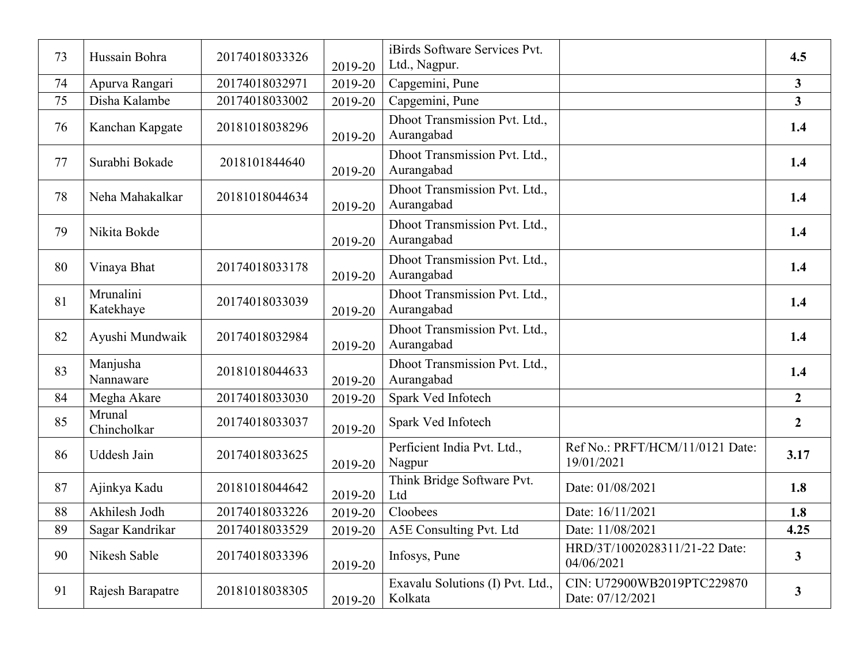| 73 | Hussain Bohra          | 20174018033326 | 2019-20 | iBirds Software Services Pvt.<br>Ltd., Nagpur. |                                                | 4.5                     |
|----|------------------------|----------------|---------|------------------------------------------------|------------------------------------------------|-------------------------|
| 74 | Apurva Rangari         | 20174018032971 | 2019-20 | Capgemini, Pune                                |                                                | $\overline{3}$          |
| 75 | Disha Kalambe          | 20174018033002 | 2019-20 | Capgemini, Pune                                |                                                | $\overline{\mathbf{3}}$ |
| 76 | Kanchan Kapgate        | 20181018038296 | 2019-20 | Dhoot Transmission Pvt. Ltd.,<br>Aurangabad    |                                                | 1.4                     |
| 77 | Surabhi Bokade         | 2018101844640  | 2019-20 | Dhoot Transmission Pvt. Ltd.,<br>Aurangabad    |                                                | 1.4                     |
| 78 | Neha Mahakalkar        | 20181018044634 | 2019-20 | Dhoot Transmission Pvt. Ltd.,<br>Aurangabad    |                                                | 1.4                     |
| 79 | Nikita Bokde           |                | 2019-20 | Dhoot Transmission Pvt. Ltd.,<br>Aurangabad    |                                                | 1.4                     |
| 80 | Vinaya Bhat            | 20174018033178 | 2019-20 | Dhoot Transmission Pvt. Ltd.,<br>Aurangabad    |                                                | 1.4                     |
| 81 | Mrunalini<br>Katekhaye | 20174018033039 | 2019-20 | Dhoot Transmission Pvt. Ltd.,<br>Aurangabad    |                                                | 1.4                     |
| 82 | Ayushi Mundwaik        | 20174018032984 | 2019-20 | Dhoot Transmission Pvt. Ltd.,<br>Aurangabad    |                                                | 1.4                     |
| 83 | Manjusha<br>Nannaware  | 20181018044633 | 2019-20 | Dhoot Transmission Pvt. Ltd.,<br>Aurangabad    |                                                | 1.4                     |
| 84 | Megha Akare            | 20174018033030 | 2019-20 | Spark Ved Infotech                             |                                                | $\overline{2}$          |
| 85 | Mrunal<br>Chincholkar  | 20174018033037 | 2019-20 | Spark Ved Infotech                             |                                                | $\overline{2}$          |
| 86 | Uddesh Jain            | 20174018033625 | 2019-20 | Perficient India Pvt. Ltd.,<br>Nagpur          | Ref No.: PRFT/HCM/11/0121 Date:<br>19/01/2021  | 3.17                    |
| 87 | Ajinkya Kadu           | 20181018044642 | 2019-20 | Think Bridge Software Pvt.<br>Ltd              | Date: 01/08/2021                               | 1.8                     |
| 88 | Akhilesh Jodh          | 20174018033226 | 2019-20 | Cloobees                                       | Date: 16/11/2021                               | 1.8                     |
| 89 | Sagar Kandrikar        | 20174018033529 | 2019-20 | A5E Consulting Pvt. Ltd                        | Date: 11/08/2021                               | 4.25                    |
| 90 | Nikesh Sable           | 20174018033396 | 2019-20 | Infosys, Pune                                  | HRD/3T/1002028311/21-22 Date:<br>04/06/2021    | $\mathbf{3}$            |
| 91 | Rajesh Barapatre       | 20181018038305 | 2019-20 | Exavalu Solutions (I) Pvt. Ltd.,<br>Kolkata    | CIN: U72900WB2019PTC229870<br>Date: 07/12/2021 | $\mathbf{3}$            |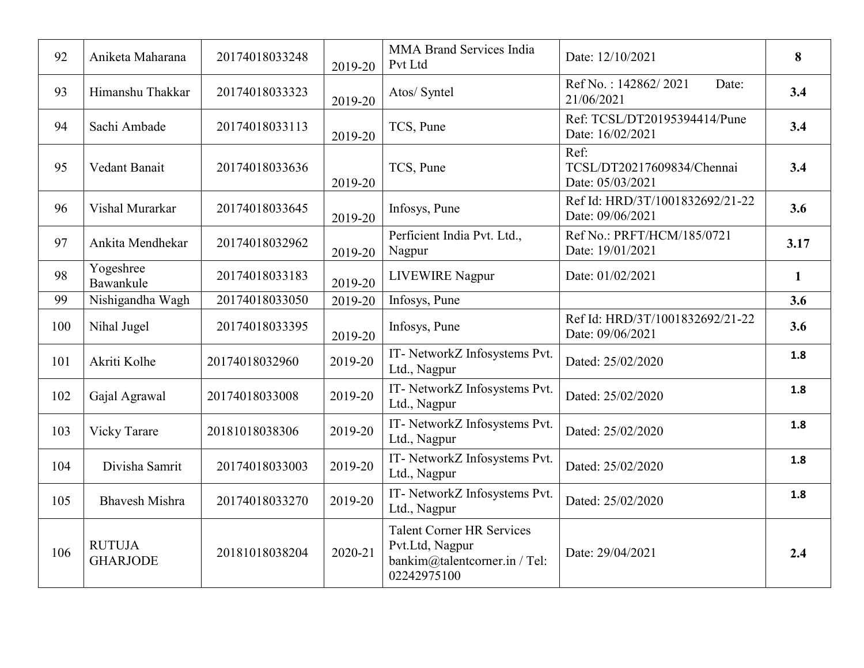| 92  | Aniketa Maharana                 | 20174018033248 | 2019-20 | <b>MMA Brand Services India</b><br>Pvt Ltd                                                          | Date: 12/10/2021                                       | 8            |
|-----|----------------------------------|----------------|---------|-----------------------------------------------------------------------------------------------------|--------------------------------------------------------|--------------|
| 93  | Himanshu Thakkar                 | 20174018033323 | 2019-20 | Atos/ Syntel                                                                                        | Ref No.: 142862/2021<br>Date:<br>21/06/2021            | 3.4          |
| 94  | Sachi Ambade                     | 20174018033113 | 2019-20 | TCS, Pune                                                                                           | Ref: TCSL/DT20195394414/Pune<br>Date: 16/02/2021       | 3.4          |
| 95  | Vedant Banait                    | 20174018033636 | 2019-20 | TCS, Pune                                                                                           | Ref:<br>TCSL/DT20217609834/Chennai<br>Date: 05/03/2021 | 3.4          |
| 96  | Vishal Murarkar                  | 20174018033645 | 2019-20 | Infosys, Pune                                                                                       | Ref Id: HRD/3T/1001832692/21-22<br>Date: 09/06/2021    | 3.6          |
| 97  | Ankita Mendhekar                 | 20174018032962 | 2019-20 | Perficient India Pvt. Ltd.,<br>Nagpur                                                               | Ref No.: PRFT/HCM/185/0721<br>Date: 19/01/2021         | 3.17         |
| 98  | Yogeshree<br>Bawankule           | 20174018033183 | 2019-20 | <b>LIVEWIRE Nagpur</b>                                                                              | Date: 01/02/2021                                       | $\mathbf{1}$ |
| 99  | Nishigandha Wagh                 | 20174018033050 | 2019-20 | Infosys, Pune                                                                                       |                                                        | 3.6          |
| 100 | Nihal Jugel                      | 20174018033395 | 2019-20 | Infosys, Pune                                                                                       | Ref Id: HRD/3T/1001832692/21-22<br>Date: 09/06/2021    | 3.6          |
| 101 | Akriti Kolhe                     | 20174018032960 | 2019-20 | IT- NetworkZ Infosystems Pvt.<br>Ltd., Nagpur                                                       | Dated: 25/02/2020                                      | 1.8          |
| 102 | Gajal Agrawal                    | 20174018033008 | 2019-20 | IT- NetworkZ Infosystems Pvt.<br>Ltd., Nagpur                                                       | Dated: 25/02/2020                                      | 1.8          |
| 103 | Vicky Tarare                     | 20181018038306 | 2019-20 | IT- NetworkZ Infosystems Pvt.<br>Ltd., Nagpur                                                       | Dated: 25/02/2020                                      | 1.8          |
| 104 | Divisha Samrit                   | 20174018033003 | 2019-20 | IT- NetworkZ Infosystems Pvt.<br>Ltd., Nagpur                                                       | Dated: 25/02/2020                                      | 1.8          |
| 105 | <b>Bhavesh Mishra</b>            | 20174018033270 | 2019-20 | IT- NetworkZ Infosystems Pvt.<br>Ltd., Nagpur                                                       | Dated: 25/02/2020                                      | 1.8          |
| 106 | <b>RUTUJA</b><br><b>GHARJODE</b> | 20181018038204 | 2020-21 | <b>Talent Corner HR Services</b><br>Pvt.Ltd, Nagpur<br>bankim@talentcorner.in / Tel:<br>02242975100 | Date: 29/04/2021                                       | 2.4          |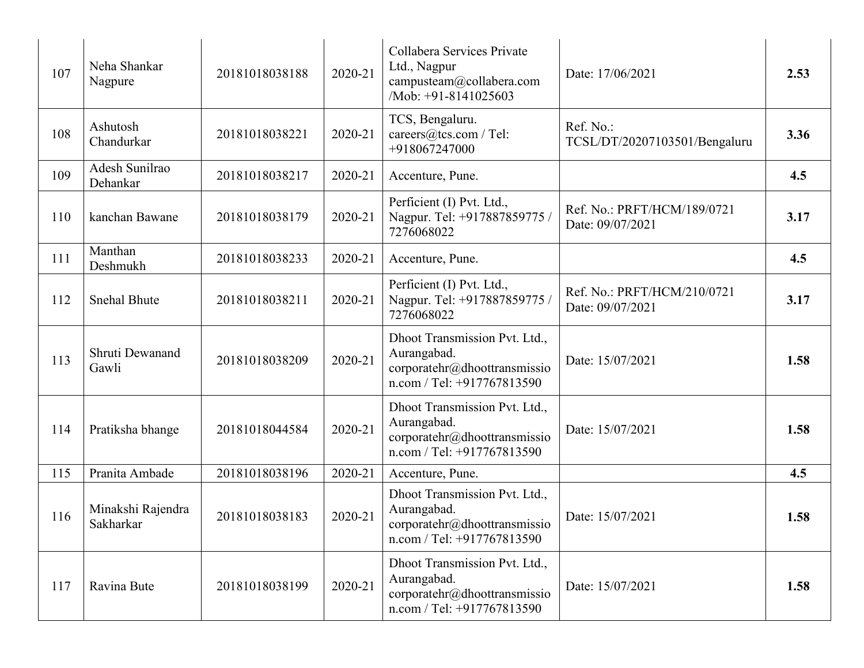| 107 | Neha Shankar<br>Nagpure        | 20181018038188 | 2020-21 | Collabera Services Private<br>Ltd., Nagpur<br>campusteam@collabera.com<br>/Mob: +91-8141025603                     | Date: 17/06/2021                                | 2.53 |
|-----|--------------------------------|----------------|---------|--------------------------------------------------------------------------------------------------------------------|-------------------------------------------------|------|
| 108 | Ashutosh<br>Chandurkar         | 20181018038221 | 2020-21 | TCS, Bengaluru.<br>careers@tcs.com / Tel:<br>+918067247000                                                         | Ref. No.:<br>TCSL/DT/20207103501/Bengaluru      | 3.36 |
| 109 | Adesh Sunilrao<br>Dehankar     | 20181018038217 | 2020-21 | Accenture, Pune.                                                                                                   |                                                 | 4.5  |
| 110 | kanchan Bawane                 | 20181018038179 | 2020-21 | Perficient (I) Pvt. Ltd.,<br>Nagpur. Tel: +917887859775 /<br>7276068022                                            | Ref. No.: PRFT/HCM/189/0721<br>Date: 09/07/2021 | 3.17 |
| 111 | Manthan<br>Deshmukh            | 20181018038233 | 2020-21 | Accenture, Pune.                                                                                                   |                                                 | 4.5  |
| 112 | <b>Snehal Bhute</b>            | 20181018038211 | 2020-21 | Perficient (I) Pvt. Ltd.,<br>Nagpur. Tel: +917887859775 /<br>7276068022                                            | Ref. No.: PRFT/HCM/210/0721<br>Date: 09/07/2021 | 3.17 |
| 113 | Shruti Dewanand<br>Gawli       | 20181018038209 | 2020-21 | Dhoot Transmission Pvt. Ltd.,<br>Aurangabad.<br>corporatehr@dhoottransmissio<br>$n.com / Tel: +917767813590$       | Date: 15/07/2021                                | 1.58 |
| 114 | Pratiksha bhange               | 20181018044584 | 2020-21 | Dhoot Transmission Pvt. Ltd.,<br>Aurangabad.<br>corporatehr@dhoottransmissio<br>$n_{\rm.com}$ / Tel: +917767813590 | Date: 15/07/2021                                | 1.58 |
| 115 | Pranita Ambade                 | 20181018038196 | 2020-21 | Accenture, Pune.                                                                                                   |                                                 | 4.5  |
| 116 | Minakshi Rajendra<br>Sakharkar | 20181018038183 | 2020-21 | Dhoot Transmission Pvt. Ltd.,<br>Aurangabad.<br>corportehr@dhoottransmission<br>$n_{\rm.com}$ / Tel: +917767813590 | Date: 15/07/2021                                | 1.58 |
| 117 | Ravina Bute                    | 20181018038199 | 2020-21 | Dhoot Transmission Pvt. Ltd.,<br>Aurangabad.<br>corporatehr@dhoottransmissio<br>$n_{\rm.com}$ / Tel: +917767813590 | Date: 15/07/2021                                | 1.58 |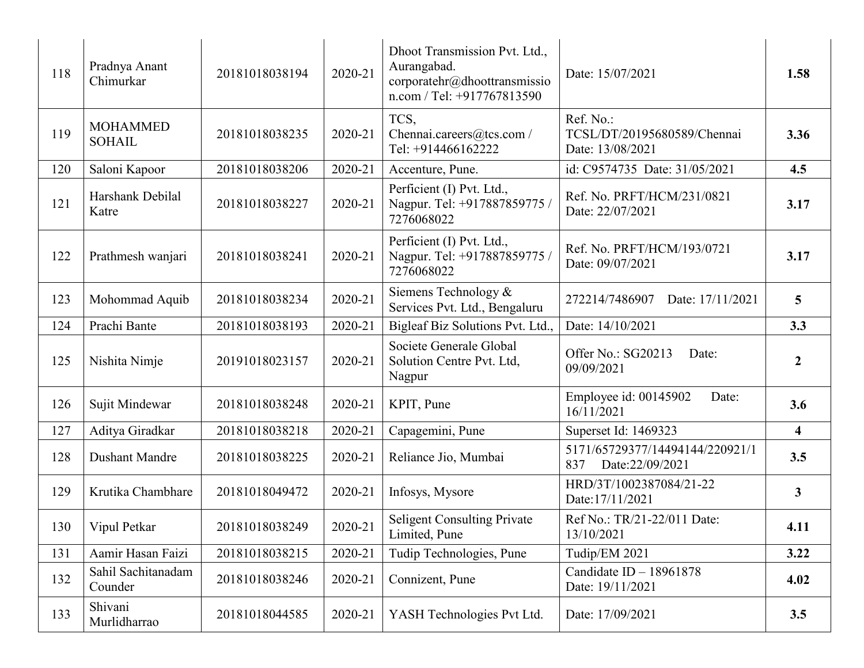| 118 | Pradnya Anant<br>Chimurkar       | 20181018038194 | 2020-21 | Dhoot Transmission Pvt. Ltd.,<br>Aurangabad.<br>corporatehr@dhoottransmissio<br>$n.com / Tel: +917767813590$ | Date: 15/07/2021                                             | 1.58                    |
|-----|----------------------------------|----------------|---------|--------------------------------------------------------------------------------------------------------------|--------------------------------------------------------------|-------------------------|
| 119 | <b>MOHAMMED</b><br><b>SOHAIL</b> | 20181018038235 | 2020-21 | TCS,<br>Chennai.careers@tcs.com /<br>Tel: +914466162222                                                      | Ref. No.:<br>TCSL/DT/20195680589/Chennai<br>Date: 13/08/2021 | 3.36                    |
| 120 | Saloni Kapoor                    | 20181018038206 | 2020-21 | Accenture, Pune.                                                                                             | id: C9574735 Date: 31/05/2021                                | 4.5                     |
| 121 | Harshank Debilal<br>Katre        | 20181018038227 | 2020-21 | Perficient (I) Pvt. Ltd.,<br>Nagpur. Tel: +917887859775 /<br>7276068022                                      | Ref. No. PRFT/HCM/231/0821<br>Date: 22/07/2021               | 3.17                    |
| 122 | Prathmesh wanjari                | 20181018038241 | 2020-21 | Perficient (I) Pvt. Ltd.,<br>Nagpur. Tel: +917887859775 /<br>7276068022                                      | Ref. No. PRFT/HCM/193/0721<br>Date: 09/07/2021               | 3.17                    |
| 123 | Mohommad Aquib                   | 20181018038234 | 2020-21 | Siemens Technology &<br>Services Pvt. Ltd., Bengaluru                                                        | 272214/7486907<br>Date: 17/11/2021                           | 5                       |
| 124 | Prachi Bante                     | 20181018038193 | 2020-21 | Bigleaf Biz Solutions Pvt. Ltd.,                                                                             | Date: 14/10/2021                                             | 3.3                     |
| 125 | Nishita Nimje                    | 20191018023157 | 2020-21 | Societe Generale Global<br>Solution Centre Pvt. Ltd,<br>Nagpur                                               | Offer No.: SG20213<br>Date:<br>09/09/2021                    | $\overline{2}$          |
| 126 | Sujit Mindewar                   | 20181018038248 | 2020-21 | KPIT, Pune                                                                                                   | Employee id: 00145902<br>Date:<br>16/11/2021                 | 3.6                     |
| 127 | Aditya Giradkar                  | 20181018038218 | 2020-21 | Capagemini, Pune                                                                                             | Superset Id: 1469323                                         | $\overline{\mathbf{4}}$ |
| 128 | <b>Dushant Mandre</b>            | 20181018038225 | 2020-21 | Reliance Jio, Mumbai                                                                                         | 5171/65729377/14494144/220921/1<br>Date:22/09/2021<br>837    | 3.5                     |
| 129 | Krutika Chambhare                | 20181018049472 | 2020-21 | Infosys, Mysore                                                                                              | HRD/3T/1002387084/21-22<br>Date: 17/11/2021                  | 3                       |
| 130 | Vipul Petkar                     | 20181018038249 | 2020-21 | <b>Seligent Consulting Private</b><br>Limited, Pune                                                          | Ref No.: TR/21-22/011 Date:<br>13/10/2021                    | 4.11                    |
| 131 | Aamir Hasan Faizi                | 20181018038215 | 2020-21 | Tudip Technologies, Pune                                                                                     | Tudip/EM 2021                                                | 3.22                    |
| 132 | Sahil Sachitanadam<br>Counder    | 20181018038246 | 2020-21 | Connizent, Pune                                                                                              | Candidate ID - 18961878<br>Date: 19/11/2021                  | 4.02                    |
| 133 | Shivani<br>Murlidharrao          | 20181018044585 | 2020-21 | YASH Technologies Pvt Ltd.                                                                                   | Date: 17/09/2021                                             | 3.5                     |